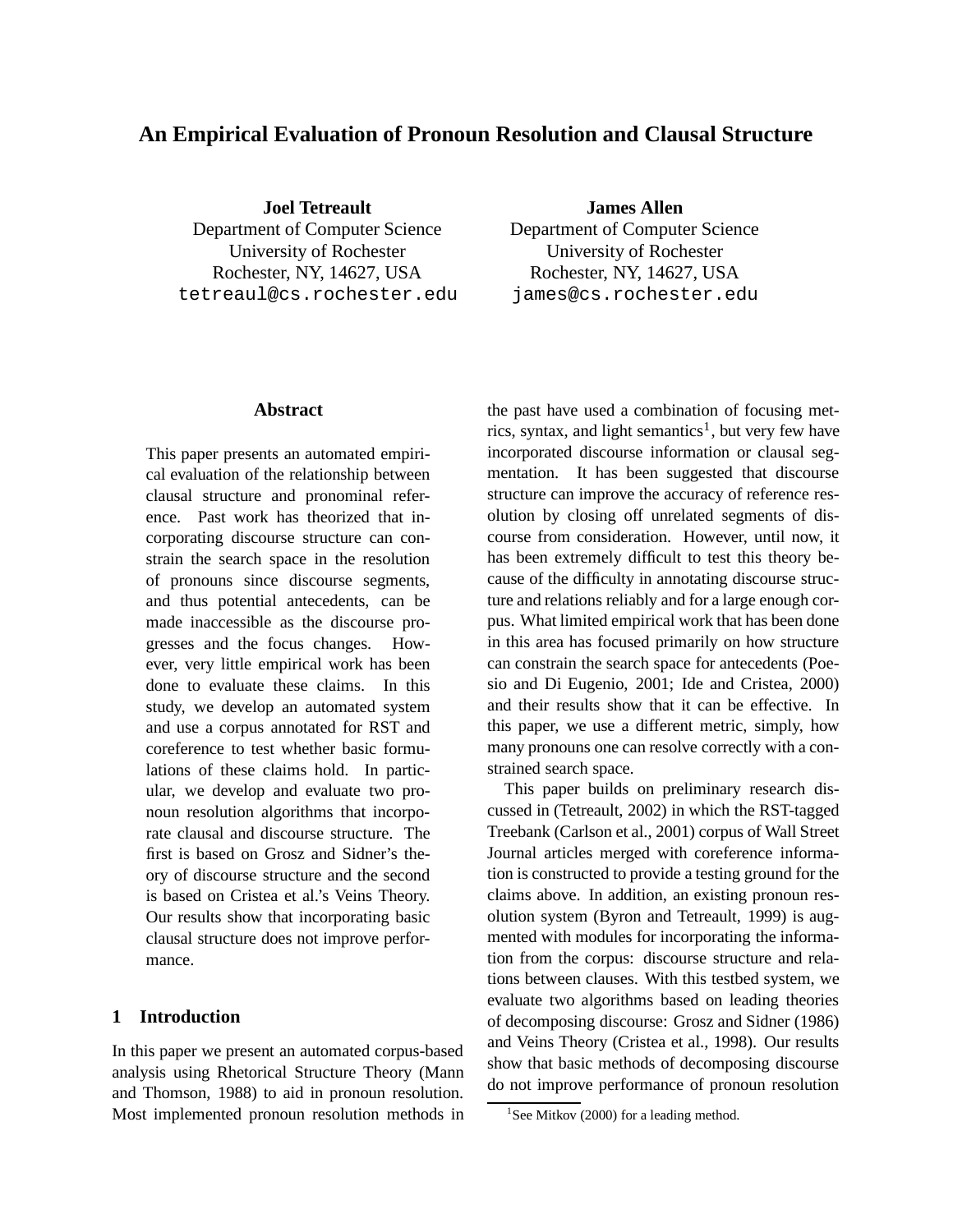# **An Empirical Evaluation of Pronoun Resolution and Clausal Structure**

**Joel Tetreault**

Department of Computer Science University of Rochester Rochester, NY, 14627, USA tetreaul@cs.rochester.edu

## **Abstract**

This paper presents an automated empirical evaluation of the relationship between clausal structure and pronominal reference. Past work has theorized that incorporating discourse structure can constrain the search space in the resolution of pronouns since discourse segments, and thus potential antecedents, can be made inaccessible as the discourse progresses and the focus changes. However, very little empirical work has been done to evaluate these claims. In this study, we develop an automated system and use a corpus annotated for RST and coreference to test whether basic formulations of these claims hold. In particular, we develop and evaluate two pronoun resolution algorithms that incorporate clausal and discourse structure. The first is based on Grosz and Sidner's theory of discourse structure and the second is based on Cristea et al.'s Veins Theory. Our results show that incorporating basic clausal structure does not improve performance.

#### **1 Introduction**

In this paper we present an automated corpus-based analysis using Rhetorical Structure Theory (Mann and Thomson, 1988) to aid in pronoun resolution. Most implemented pronoun resolution methods in

**James Allen**

Department of Computer Science University of Rochester Rochester, NY, 14627, USA james@cs.rochester.edu

the past have used a combination of focusing metrics, syntax, and light semantics<sup>1</sup>, but very few have incorporated discourse information or clausal segmentation. It has been suggested that discourse structure can improve the accuracy of reference resolution by closing off unrelated segments of discourse from consideration. However, until now, it has been extremely difficult to test this theory because of the difficulty in annotating discourse structure and relations reliably and for a large enough corpus. What limited empirical work that has been done in this area has focused primarily on how structure can constrain the search space for antecedents (Poesio and Di Eugenio, 2001; Ide and Cristea, 2000) and their results show that it can be effective. In this paper, we use a different metric, simply, how many pronouns one can resolve correctly with a constrained search space.

This paper builds on preliminary research discussed in (Tetreault, 2002) in which the RST-tagged Treebank (Carlson et al., 2001) corpus of Wall Street Journal articles merged with coreference information is constructed to provide a testing ground for the claims above. In addition, an existing pronoun resolution system (Byron and Tetreault, 1999) is augmented with modules for incorporating the information from the corpus: discourse structure and relations between clauses. With this testbed system, we evaluate two algorithms based on leading theories of decomposing discourse: Grosz and Sidner (1986) and Veins Theory (Cristea et al., 1998). Our results show that basic methods of decomposing discourse do not improve performance of pronoun resolution

<sup>&</sup>lt;sup>1</sup>See Mitkov (2000) for a leading method.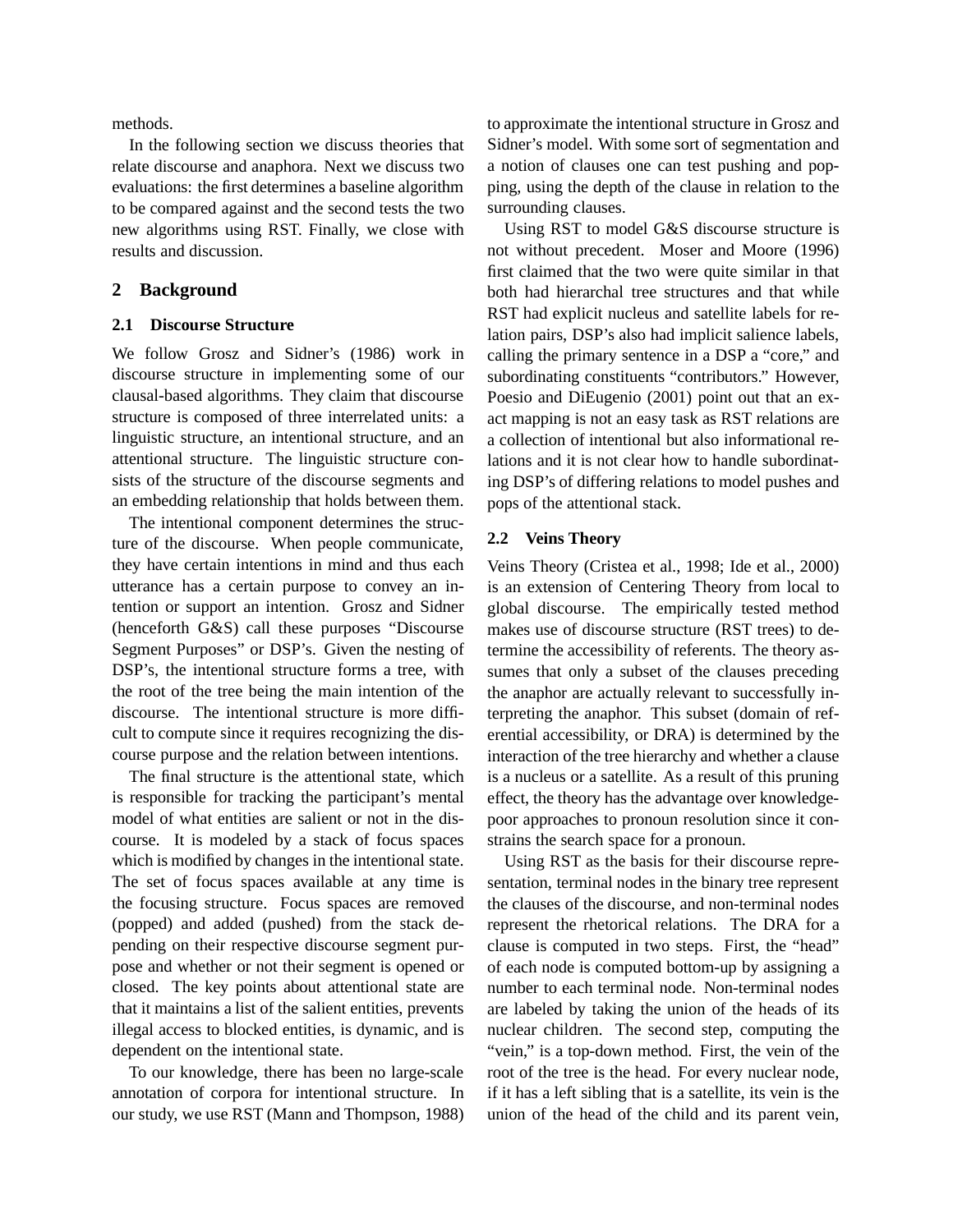methods.

In the following section we discuss theories that relate discourse and anaphora. Next we discuss two evaluations: the first determines a baseline algorithm to be compared against and the second tests the two new algorithms using RST. Finally, we close with results and discussion.

# **2 Background**

#### **2.1 Discourse Structure**

We follow Grosz and Sidner's (1986) work in discourse structure in implementing some of our clausal-based algorithms. They claim that discourse structure is composed of three interrelated units: a linguistic structure, an intentional structure, and an attentional structure. The linguistic structure consists of the structure of the discourse segments and an embedding relationship that holds between them.

The intentional component determines the structure of the discourse. When people communicate, they have certain intentions in mind and thus each utterance has a certain purpose to convey an intention or support an intention. Grosz and Sidner (henceforth G&S) call these purposes "Discourse Segment Purposes" or DSP's. Given the nesting of DSP's, the intentional structure forms a tree, with the root of the tree being the main intention of the discourse. The intentional structure is more difficult to compute since it requires recognizing the discourse purpose and the relation between intentions.

The final structure is the attentional state, which is responsible for tracking the participant's mental model of what entities are salient or not in the discourse. It is modeled by a stack of focus spaces which is modified by changes in the intentional state. The set of focus spaces available at any time is the focusing structure. Focus spaces are removed (popped) and added (pushed) from the stack depending on their respective discourse segment purpose and whether or not their segment is opened or closed. The key points about attentional state are that it maintains a list of the salient entities, prevents illegal access to blocked entities, is dynamic, and is dependent on the intentional state.

To our knowledge, there has been no large-scale annotation of corpora for intentional structure. In our study, we use RST (Mann and Thompson, 1988)

to approximate the intentional structure in Grosz and Sidner's model. With some sort of segmentation and a notion of clauses one can test pushing and popping, using the depth of the clause in relation to the surrounding clauses.

Using RST to model G&S discourse structure is not without precedent. Moser and Moore (1996) first claimed that the two were quite similar in that both had hierarchal tree structures and that while RST had explicit nucleus and satellite labels for relation pairs, DSP's also had implicit salience labels, calling the primary sentence in a DSP a "core," and subordinating constituents "contributors." However, Poesio and DiEugenio (2001) point out that an exact mapping is not an easy task as RST relations are a collection of intentional but also informational relations and it is not clear how to handle subordinating DSP's of differing relations to model pushes and pops of the attentional stack.

## **2.2 Veins Theory**

Veins Theory (Cristea et al., 1998; Ide et al., 2000) is an extension of Centering Theory from local to global discourse. The empirically tested method makes use of discourse structure (RST trees) to determine the accessibility of referents. The theory assumes that only a subset of the clauses preceding the anaphor are actually relevant to successfully interpreting the anaphor. This subset (domain of referential accessibility, or DRA) is determined by the interaction of the tree hierarchy and whether a clause is a nucleus or a satellite. As a result of this pruning effect, the theory has the advantage over knowledgepoor approaches to pronoun resolution since it constrains the search space for a pronoun.

Using RST as the basis for their discourse representation, terminal nodes in the binary tree represent the clauses of the discourse, and non-terminal nodes represent the rhetorical relations. The DRA for a clause is computed in two steps. First, the "head" of each node is computed bottom-up by assigning a number to each terminal node. Non-terminal nodes are labeled by taking the union of the heads of its nuclear children. The second step, computing the "vein," is a top-down method. First, the vein of the root of the tree is the head. For every nuclear node, if it has a left sibling that is a satellite, its vein is the union of the head of the child and its parent vein,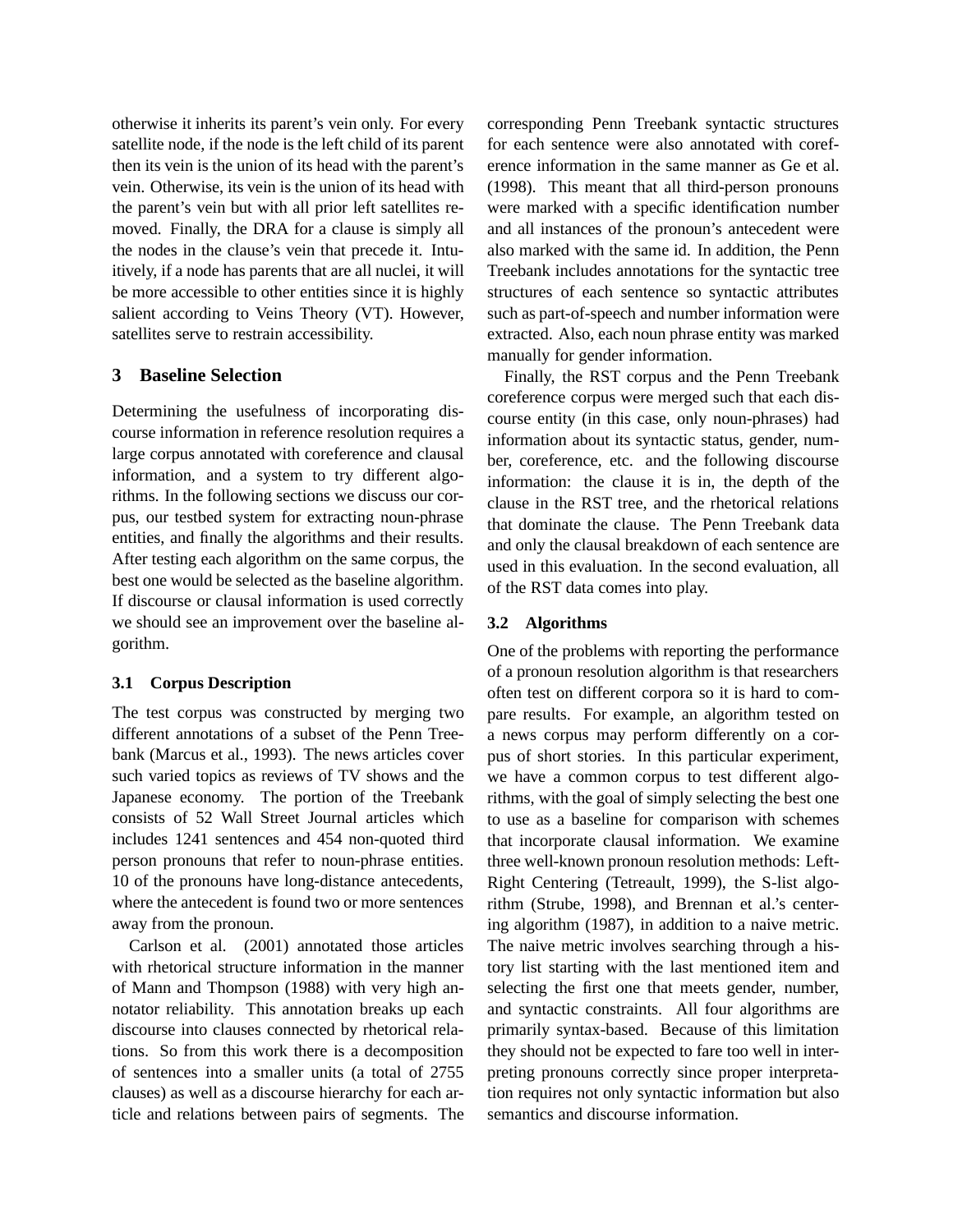otherwise it inherits its parent's vein only. For every satellite node, if the node is the left child of its parent then its vein is the union of its head with the parent's vein. Otherwise, its vein is the union of its head with the parent's vein but with all prior left satellites removed. Finally, the DRA for a clause is simply all the nodes in the clause's vein that precede it. Intuitively, if a node has parents that are all nuclei, it will be more accessible to other entities since it is highly salient according to Veins Theory (VT). However, satellites serve to restrain accessibility.

# **3 Baseline Selection**

Determining the usefulness of incorporating discourse information in reference resolution requires a large corpus annotated with coreference and clausal information, and a system to try different algorithms. In the following sections we discuss our corpus, our testbed system for extracting noun-phrase entities, and finally the algorithms and their results. After testing each algorithm on the same corpus, the best one would be selected as the baseline algorithm. If discourse or clausal information is used correctly we should see an improvement over the baseline algorithm.

## **3.1 Corpus Description**

The test corpus was constructed by merging two different annotations of a subset of the Penn Treebank (Marcus et al., 1993). The news articles cover such varied topics as reviews of TV shows and the Japanese economy. The portion of the Treebank consists of 52 Wall Street Journal articles which includes 1241 sentences and 454 non-quoted third person pronouns that refer to noun-phrase entities. 10 of the pronouns have long-distance antecedents, where the antecedent is found two or more sentences away from the pronoun.

Carlson et al. (2001) annotated those articles with rhetorical structure information in the manner of Mann and Thompson (1988) with very high annotator reliability. This annotation breaks up each discourse into clauses connected by rhetorical relations. So from this work there is a decomposition of sentences into a smaller units (a total of 2755 clauses) as well as a discourse hierarchy for each article and relations between pairs of segments. The corresponding Penn Treebank syntactic structures for each sentence were also annotated with coreference information in the same manner as Ge et al. (1998). This meant that all third-person pronouns were marked with a specific identification number and all instances of the pronoun's antecedent were also marked with the same id. In addition, the Penn Treebank includes annotations for the syntactic tree structures of each sentence so syntactic attributes such as part-of-speech and number information were extracted. Also, each noun phrase entity was marked manually for gender information.

Finally, the RST corpus and the Penn Treebank coreference corpus were merged such that each discourse entity (in this case, only noun-phrases) had information about its syntactic status, gender, number, coreference, etc. and the following discourse information: the clause it is in, the depth of the clause in the RST tree, and the rhetorical relations that dominate the clause. The Penn Treebank data and only the clausal breakdown of each sentence are used in this evaluation. In the second evaluation, all of the RST data comes into play.

## **3.2 Algorithms**

One of the problems with reporting the performance of a pronoun resolution algorithm is that researchers often test on different corpora so it is hard to compare results. For example, an algorithm tested on a news corpus may perform differently on a corpus of short stories. In this particular experiment, we have a common corpus to test different algorithms, with the goal of simply selecting the best one to use as a baseline for comparison with schemes that incorporate clausal information. We examine three well-known pronoun resolution methods: Left-Right Centering (Tetreault, 1999), the S-list algorithm (Strube, 1998), and Brennan et al.'s centering algorithm (1987), in addition to a naive metric. The naive metric involves searching through a history list starting with the last mentioned item and selecting the first one that meets gender, number, and syntactic constraints. All four algorithms are primarily syntax-based. Because of this limitation they should not be expected to fare too well in interpreting pronouns correctly since proper interpretation requires not only syntactic information but also semantics and discourse information.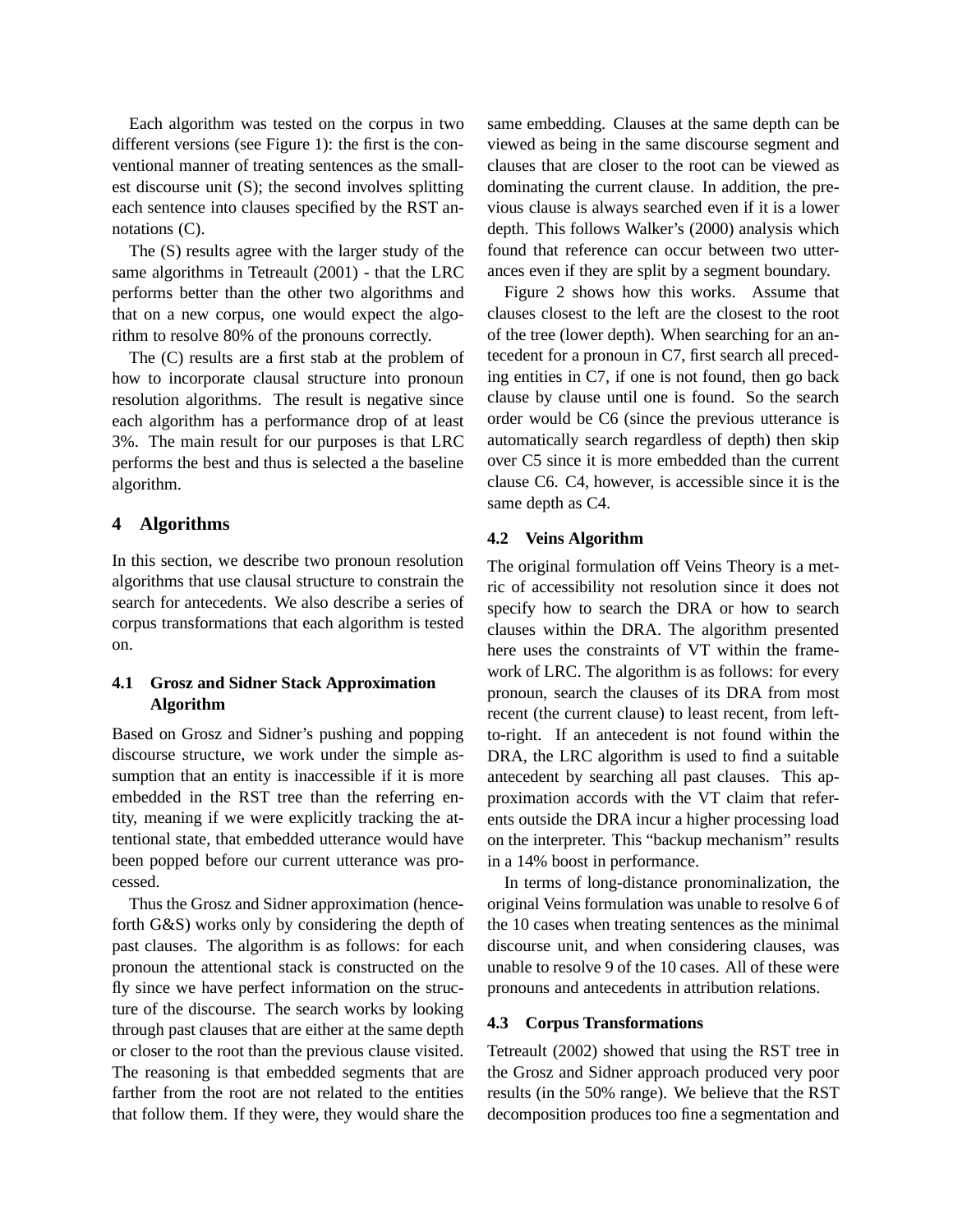Each algorithm was tested on the corpus in two different versions (see Figure 1): the first is the conventional manner of treating sentences as the smallest discourse unit (S); the second involves splitting each sentence into clauses specified by the RST annotations (C).

The (S) results agree with the larger study of the same algorithms in Tetreault (2001) - that the LRC performs better than the other two algorithms and that on a new corpus, one would expect the algorithm to resolve 80% of the pronouns correctly.

The (C) results are a first stab at the problem of how to incorporate clausal structure into pronoun resolution algorithms. The result is negative since each algorithm has a performance drop of at least 3%. The main result for our purposes is that LRC performs the best and thus is selected a the baseline algorithm.

# **4 Algorithms**

In this section, we describe two pronoun resolution algorithms that use clausal structure to constrain the search for antecedents. We also describe a series of corpus transformations that each algorithm is tested on.

# **4.1 Grosz and Sidner Stack Approximation Algorithm**

Based on Grosz and Sidner's pushing and popping discourse structure, we work under the simple assumption that an entity is inaccessible if it is more embedded in the RST tree than the referring entity, meaning if we were explicitly tracking the attentional state, that embedded utterance would have been popped before our current utterance was processed.

Thus the Grosz and Sidner approximation (henceforth G&S) works only by considering the depth of past clauses. The algorithm is as follows: for each pronoun the attentional stack is constructed on the fly since we have perfect information on the structure of the discourse. The search works by looking through past clauses that are either at the same depth or closer to the root than the previous clause visited. The reasoning is that embedded segments that are farther from the root are not related to the entities that follow them. If they were, they would share the

same embedding. Clauses at the same depth can be viewed as being in the same discourse segment and clauses that are closer to the root can be viewed as dominating the current clause. In addition, the previous clause is always searched even if it is a lower depth. This follows Walker's (2000) analysis which found that reference can occur between two utterances even if they are split by a segment boundary.

Figure 2 shows how this works. Assume that clauses closest to the left are the closest to the root of the tree (lower depth). When searching for an antecedent for a pronoun in C7, first search all preceding entities in C7, if one is not found, then go back clause by clause until one is found. So the search order would be C6 (since the previous utterance is automatically search regardless of depth) then skip over C5 since it is more embedded than the current clause C6. C4, however, is accessible since it is the same depth as C4.

# **4.2 Veins Algorithm**

The original formulation off Veins Theory is a metric of accessibility not resolution since it does not specify how to search the DRA or how to search clauses within the DRA. The algorithm presented here uses the constraints of VT within the framework of LRC. The algorithm is as follows: for every pronoun, search the clauses of its DRA from most recent (the current clause) to least recent, from leftto-right. If an antecedent is not found within the DRA, the LRC algorithm is used to find a suitable antecedent by searching all past clauses. This approximation accords with the VT claim that referents outside the DRA incur a higher processing load on the interpreter. This "backup mechanism" results in a 14% boost in performance.

In terms of long-distance pronominalization, the original Veins formulation was unable to resolve 6 of the 10 cases when treating sentences as the minimal discourse unit, and when considering clauses, was unable to resolve 9 of the 10 cases. All of these were pronouns and antecedents in attribution relations.

#### **4.3 Corpus Transformations**

Tetreault (2002) showed that using the RST tree in the Grosz and Sidner approach produced very poor results (in the 50% range). We believe that the RST decomposition produces too fine a segmentation and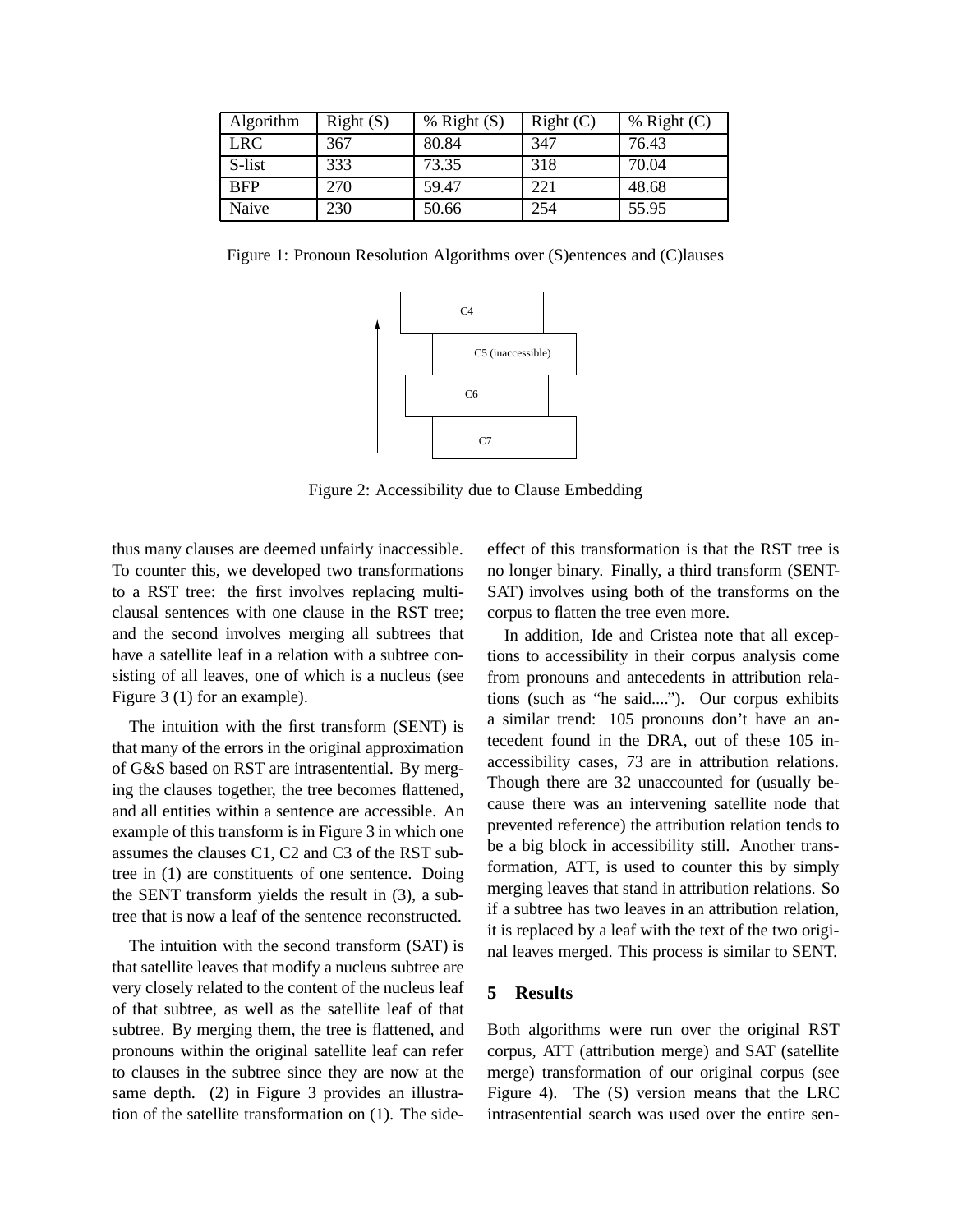| Algorithm  | Right(S) | $%$ Right $(S)$ | Right(C) | $%$ Right $(C)$ |
|------------|----------|-----------------|----------|-----------------|
| <b>LRC</b> | 367      | 80.84           | 347      | 76.43           |
| S-list     | 333      | 73.35           | 318      | 70.04           |
| <b>BFP</b> | 270      | 59.47           | 221      | 48.68           |
| Naive      | 230      | 50.66           | 254      | 55.95           |

Figure 1: Pronoun Resolution Algorithms over (S)entences and (C)lauses



Figure 2: Accessibility due to Clause Embedding

thus many clauses are deemed unfairly inaccessible. To counter this, we developed two transformations to a RST tree: the first involves replacing multiclausal sentences with one clause in the RST tree; and the second involves merging all subtrees that have a satellite leaf in a relation with a subtree consisting of all leaves, one of which is a nucleus (see Figure 3 (1) for an example).

The intuition with the first transform (SENT) is that many of the errors in the original approximation of G&S based on RST are intrasentential. By merging the clauses together, the tree becomes flattened, and all entities within a sentence are accessible. An example of this transform is in Figure 3 in which one assumes the clauses C1, C2 and C3 of the RST subtree in (1) are constituents of one sentence. Doing the SENT transform yields the result in (3), a subtree that is now a leaf of the sentence reconstructed.

The intuition with the second transform (SAT) is that satellite leaves that modify a nucleus subtree are very closely related to the content of the nucleus leaf of that subtree, as well as the satellite leaf of that subtree. By merging them, the tree is flattened, and pronouns within the original satellite leaf can refer to clauses in the subtree since they are now at the same depth. (2) in Figure 3 provides an illustration of the satellite transformation on (1). The sideeffect of this transformation is that the RST tree is no longer binary. Finally, a third transform (SENT-SAT) involves using both of the transforms on the corpus to flatten the tree even more.

In addition, Ide and Cristea note that all exceptions to accessibility in their corpus analysis come from pronouns and antecedents in attribution relations (such as "he said...."). Our corpus exhibits a similar trend: 105 pronouns don't have an antecedent found in the DRA, out of these 105 inaccessibility cases, 73 are in attribution relations. Though there are 32 unaccounted for (usually because there was an intervening satellite node that prevented reference) the attribution relation tends to be a big block in accessibility still. Another transformation, ATT, is used to counter this by simply merging leaves that stand in attribution relations. So if a subtree has two leaves in an attribution relation, it is replaced by a leaf with the text of the two original leaves merged. This process is similar to SENT.

## **5 Results**

Both algorithms were run over the original RST corpus, ATT (attribution merge) and SAT (satellite merge) transformation of our original corpus (see Figure 4). The (S) version means that the LRC intrasentential search was used over the entire sen-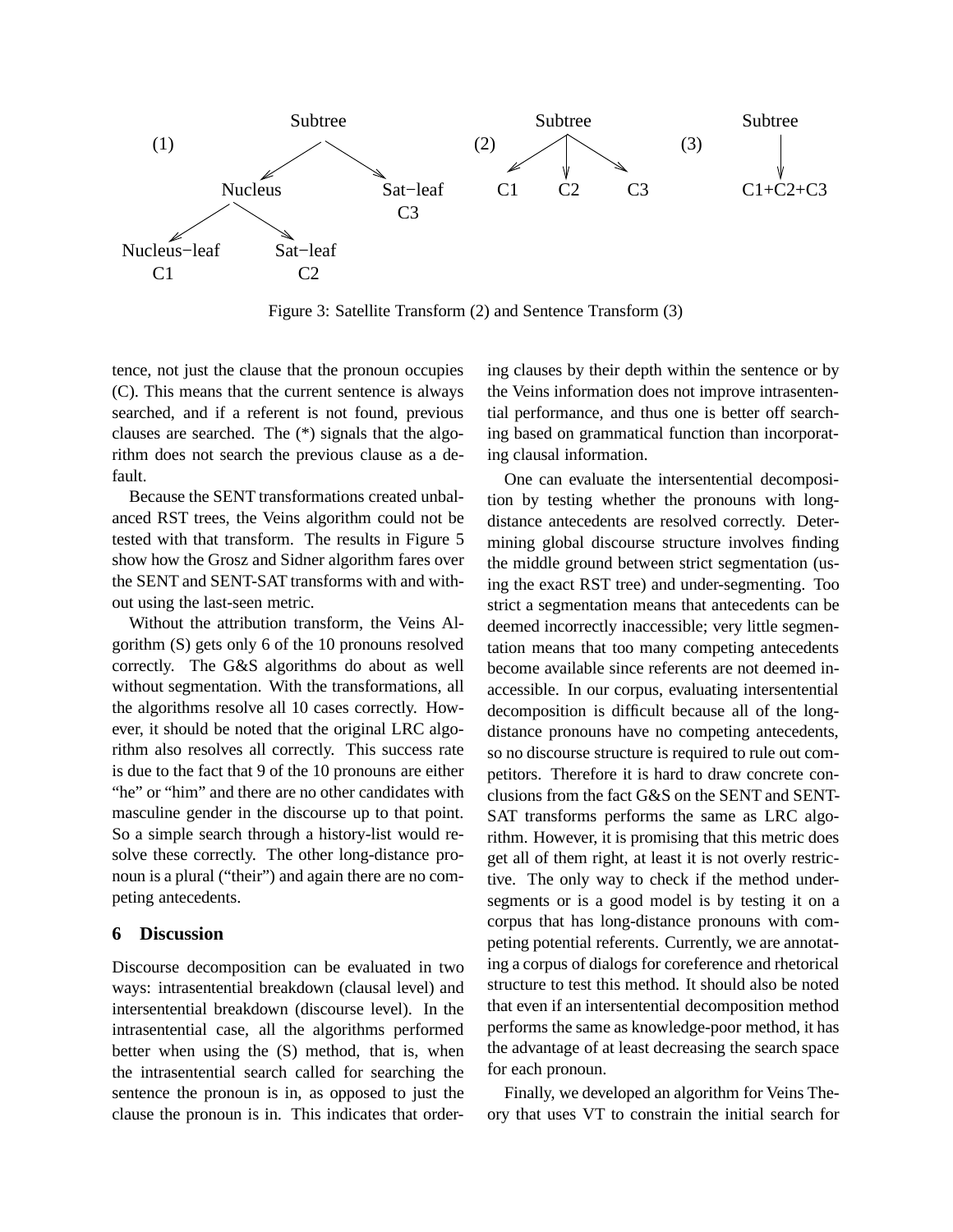

Figure 3: Satellite Transform (2) and Sentence Transform (3)

tence, not just the clause that the pronoun occupies (C). This means that the current sentence is always searched, and if a referent is not found, previous clauses are searched. The (\*) signals that the algorithm does not search the previous clause as a default.

Because the SENT transformations created unbalanced RST trees, the Veins algorithm could not be tested with that transform. The results in Figure 5 show how the Grosz and Sidner algorithm fares over the SENT and SENT-SAT transforms with and without using the last-seen metric.

Without the attribution transform, the Veins Algorithm (S) gets only 6 of the 10 pronouns resolved correctly. The G&S algorithms do about as well without segmentation. With the transformations, all the algorithms resolve all 10 cases correctly. However, it should be noted that the original LRC algorithm also resolves all correctly. This success rate is due to the fact that 9 of the 10 pronouns are either "he" or "him" and there are no other candidates with masculine gender in the discourse up to that point. So a simple search through a history-list would resolve these correctly. The other long-distance pronoun is a plural ("their") and again there are no competing antecedents.

# **6 Discussion**

Discourse decomposition can be evaluated in two ways: intrasentential breakdown (clausal level) and intersentential breakdown (discourse level). In the intrasentential case, all the algorithms performed better when using the (S) method, that is, when the intrasentential search called for searching the sentence the pronoun is in, as opposed to just the clause the pronoun is in. This indicates that ordering clauses by their depth within the sentence or by the Veins information does not improve intrasentential performance, and thus one is better off searching based on grammatical function than incorporating clausal information.

One can evaluate the intersentential decomposition by testing whether the pronouns with longdistance antecedents are resolved correctly. Determining global discourse structure involves finding the middle ground between strict segmentation (using the exact RST tree) and under-segmenting. Too strict a segmentation means that antecedents can be deemed incorrectly inaccessible; very little segmentation means that too many competing antecedents become available since referents are not deemed inaccessible. In our corpus, evaluating intersentential decomposition is difficult because all of the longdistance pronouns have no competing antecedents, so no discourse structure is required to rule out competitors. Therefore it is hard to draw concrete conclusions from the fact G&S on the SENT and SENT-SAT transforms performs the same as LRC algorithm. However, it is promising that this metric does get all of them right, at least it is not overly restrictive. The only way to check if the method undersegments or is a good model is by testing it on a corpus that has long-distance pronouns with competing potential referents. Currently, we are annotating a corpus of dialogs for coreference and rhetorical structure to test this method. It should also be noted that even if an intersentential decomposition method performs the same as knowledge-poor method, it has the advantage of at least decreasing the search space for each pronoun.

Finally, we developed an algorithm for Veins Theory that uses VT to constrain the initial search for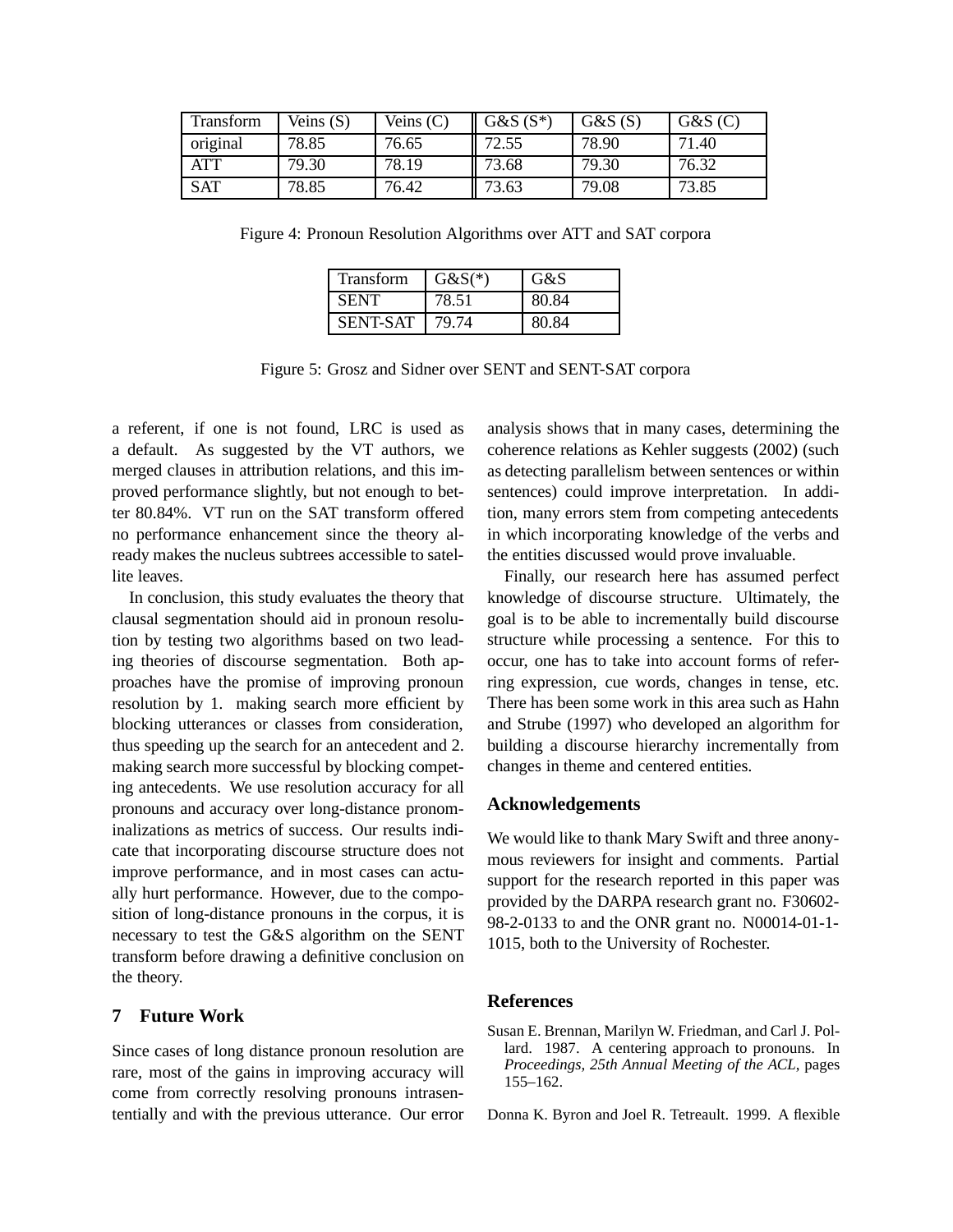| <b>Transform</b> | Veins (S) | Veins $(C)$ | $G&S(S^*)$ | G&S(S) | G&S(C) |
|------------------|-----------|-------------|------------|--------|--------|
| original         | 78.85     | 76.65       | 72.55      | 78.90  | 71.40  |
| ATT              | 79.30     | 78.19       | 73.68      | 79.30  | 76.32  |
| <b>SAT</b>       | 78.85     | 76.42       | 73.63      | 79.08  | 73.85  |

Figure 4: Pronoun Resolution Algorithms over ATT and SAT corpora

| <b>Transform</b> | $G&S(*)$ | G&S   |
|------------------|----------|-------|
| <b>SENT</b>      | 78.51    | 80.84 |
| <b>SENT-SAT</b>  | 79.74    | 80 R4 |

Figure 5: Grosz and Sidner over SENT and SENT-SAT corpora

a referent, if one is not found, LRC is used as a default. As suggested by the VT authors, we merged clauses in attribution relations, and this improved performance slightly, but not enough to better 80.84%. VT run on the SAT transform offered no performance enhancement since the theory already makes the nucleus subtrees accessible to satellite leaves.

In conclusion, this study evaluates the theory that clausal segmentation should aid in pronoun resolution by testing two algorithms based on two leading theories of discourse segmentation. Both approaches have the promise of improving pronoun resolution by 1. making search more efficient by blocking utterances or classes from consideration, thus speeding up the search for an antecedent and 2. making search more successful by blocking competing antecedents. We use resolution accuracy for all pronouns and accuracy over long-distance pronominalizations as metrics of success. Our results indicate that incorporating discourse structure does not improve performance, and in most cases can actually hurt performance. However, due to the composition of long-distance pronouns in the corpus, it is necessary to test the G&S algorithm on the SENT transform before drawing a definitive conclusion on the theory.

# **7 Future Work**

Since cases of long distance pronoun resolution are rare, most of the gains in improving accuracy will come from correctly resolving pronouns intrasententially and with the previous utterance. Our error

analysis shows that in many cases, determining the coherence relations as Kehler suggests (2002) (such as detecting parallelism between sentences or within sentences) could improve interpretation. In addition, many errors stem from competing antecedents in which incorporating knowledge of the verbs and the entities discussed would prove invaluable.

Finally, our research here has assumed perfect knowledge of discourse structure. Ultimately, the goal is to be able to incrementally build discourse structure while processing a sentence. For this to occur, one has to take into account forms of referring expression, cue words, changes in tense, etc. There has been some work in this area such as Hahn and Strube (1997) who developed an algorithm for building a discourse hierarchy incrementally from changes in theme and centered entities.

#### **Acknowledgements**

We would like to thank Mary Swift and three anonymous reviewers for insight and comments. Partial support for the research reported in this paper was provided by the DARPA research grant no. F30602- 98-2-0133 to and the ONR grant no. N00014-01-1- 1015, both to the University of Rochester.

#### **References**

Susan E. Brennan, Marilyn W. Friedman, and Carl J. Pollard. 1987. A centering approach to pronouns. In *Proceedings, 25th Annual Meeting of the ACL*, pages 155–162.

Donna K. Byron and Joel R. Tetreault. 1999. A flexible